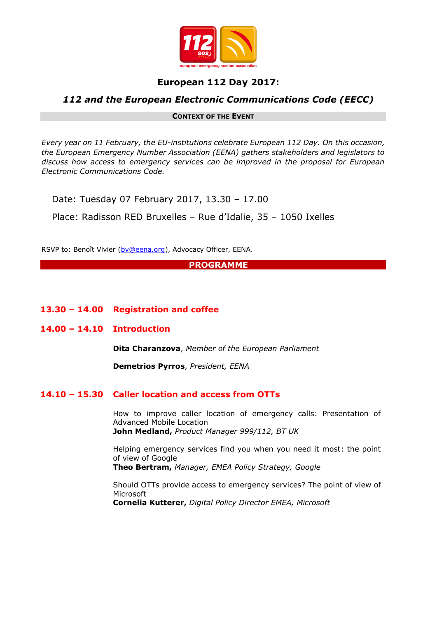

# **European 112 Day 2017:**

# *112 and the European Electronic Communications Code (EECC)*

#### **CONTEXT OF THE EVENT**

*Every year on 11 February, the EU-institutions celebrate European 112 Day. On this occasion, the European Emergency Number Association (EENA) gathers stakeholders and legislators to discuss how access to emergency services can be improved in the proposal for European Electronic Communications Code.*

Date: Tuesday 07 February 2017, 13.30 – 17.00

Place: Radisson RED Bruxelles – Rue d'Idalie, 35 – 1050 Ixelles

RSVP to: Benoît Vivier [\(bv@eena.org\)](mailto:bv@eena.org), Advocacy Officer, EENA.

**PROGRAMME**

**13.30 – 14.00 Registration and coffee**

#### **14.00 – 14.10 Introduction**

**Dita Charanzova**, *Member of the European Parliament*

**Demetrios Pyrros**, *President, EENA*

### **14.10 – 15.30 Caller location and access from OTTs**

How to improve caller location of emergency calls: Presentation of Advanced Mobile Location **John Medland,** *Product Manager 999/112, BT UK*

Helping emergency services find you when you need it most: the point of view of Google

**Theo Bertram,** *Manager, EMEA Policy Strategy, Google*

Should OTTs provide access to emergency services? The point of view of Microsoft **Cornelia Kutterer,** *Digital Policy Director EMEA, Microsoft*